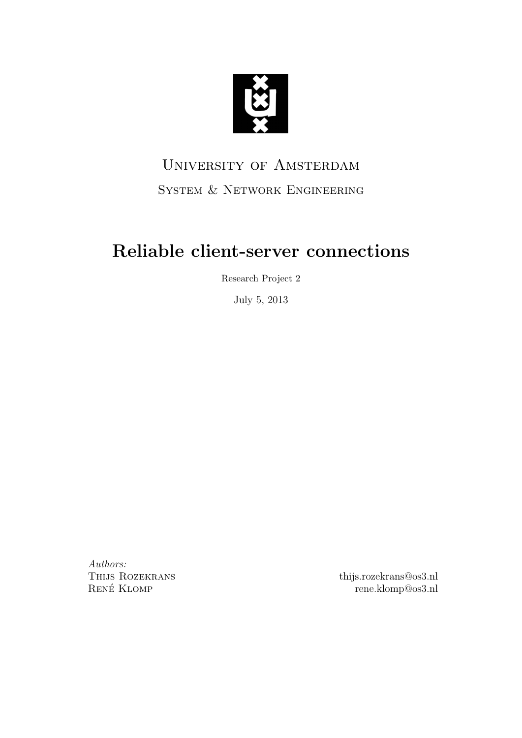

# University of Amsterdam System & Network Engineering

# Reliable client-server connections

Research Project 2

July 5, 2013

Authors: Thijs Rozekrans RENÉ KLOMP

thijs.rozekrans@os3.nl rene.klomp@os3.nl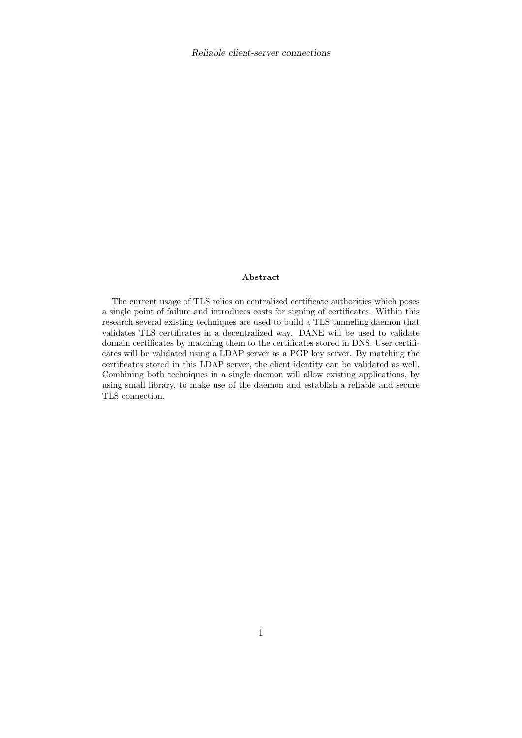#### Abstract

The current usage of TLS relies on centralized certificate authorities which poses a single point of failure and introduces costs for signing of certificates. Within this research several existing techniques are used to build a TLS tunneling daemon that validates TLS certificates in a decentralized way. DANE will be used to validate domain certificates by matching them to the certificates stored in DNS. User certificates will be validated using a LDAP server as a PGP key server. By matching the certificates stored in this LDAP server, the client identity can be validated as well. Combining both techniques in a single daemon will allow existing applications, by using small library, to make use of the daemon and establish a reliable and secure TLS connection.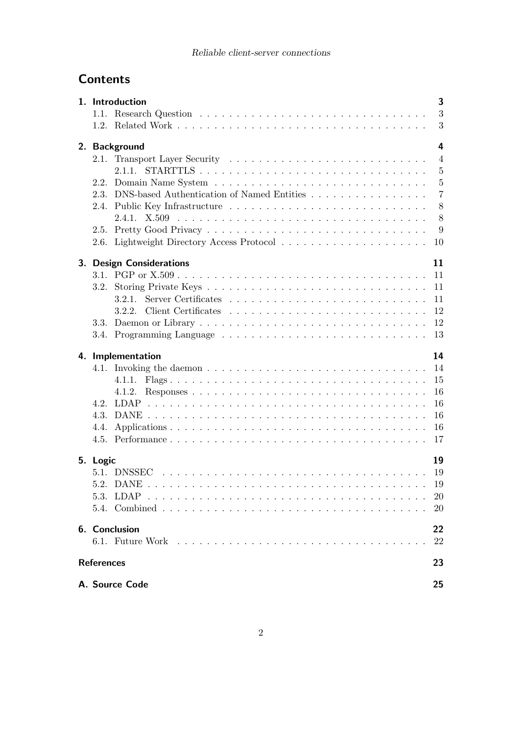## Reliable client-server connections

## **Contents**

|                                | 1. Introduction                                 | 3              |  |  |  |  |  |  |  |
|--------------------------------|-------------------------------------------------|----------------|--|--|--|--|--|--|--|
|                                |                                                 | 3              |  |  |  |  |  |  |  |
|                                |                                                 | 3              |  |  |  |  |  |  |  |
|                                |                                                 |                |  |  |  |  |  |  |  |
| 4<br>2. Background             |                                                 |                |  |  |  |  |  |  |  |
| 2.1.                           |                                                 | $\overline{4}$ |  |  |  |  |  |  |  |
|                                | 2.1.1.                                          | $\overline{5}$ |  |  |  |  |  |  |  |
|                                |                                                 | $\overline{5}$ |  |  |  |  |  |  |  |
|                                | 2.3. DNS-based Authentication of Named Entities | $\overline{7}$ |  |  |  |  |  |  |  |
|                                |                                                 | 8              |  |  |  |  |  |  |  |
|                                |                                                 | 8              |  |  |  |  |  |  |  |
|                                |                                                 | 9              |  |  |  |  |  |  |  |
|                                |                                                 | 10             |  |  |  |  |  |  |  |
|                                |                                                 |                |  |  |  |  |  |  |  |
| 11<br>3. Design Considerations |                                                 |                |  |  |  |  |  |  |  |
|                                |                                                 | 11             |  |  |  |  |  |  |  |
| 3.2.                           |                                                 | 11             |  |  |  |  |  |  |  |
|                                |                                                 | 11             |  |  |  |  |  |  |  |
|                                |                                                 | 12             |  |  |  |  |  |  |  |
| 3.3.                           |                                                 | 12             |  |  |  |  |  |  |  |
|                                |                                                 | 13             |  |  |  |  |  |  |  |
|                                |                                                 |                |  |  |  |  |  |  |  |
|                                |                                                 |                |  |  |  |  |  |  |  |
|                                | 4. Implementation                               | 14             |  |  |  |  |  |  |  |
|                                |                                                 | 14             |  |  |  |  |  |  |  |
|                                | 4.1.1.                                          | 15             |  |  |  |  |  |  |  |
|                                | 4.1.2.                                          | 16             |  |  |  |  |  |  |  |
| 4.2.                           |                                                 | 16             |  |  |  |  |  |  |  |
|                                |                                                 | 16             |  |  |  |  |  |  |  |
| 4.4.                           |                                                 | 16             |  |  |  |  |  |  |  |
|                                |                                                 | 17             |  |  |  |  |  |  |  |
|                                |                                                 |                |  |  |  |  |  |  |  |
| 5. Logic                       |                                                 | 19             |  |  |  |  |  |  |  |
|                                | 19                                              |                |  |  |  |  |  |  |  |
|                                |                                                 | 19             |  |  |  |  |  |  |  |
|                                | 5.3. LDAP                                       | 20             |  |  |  |  |  |  |  |
|                                |                                                 | 20             |  |  |  |  |  |  |  |
|                                |                                                 |                |  |  |  |  |  |  |  |
|                                | 6. Conclusion                                   | 22             |  |  |  |  |  |  |  |
|                                |                                                 | 22             |  |  |  |  |  |  |  |
| <b>References</b>              |                                                 | 23             |  |  |  |  |  |  |  |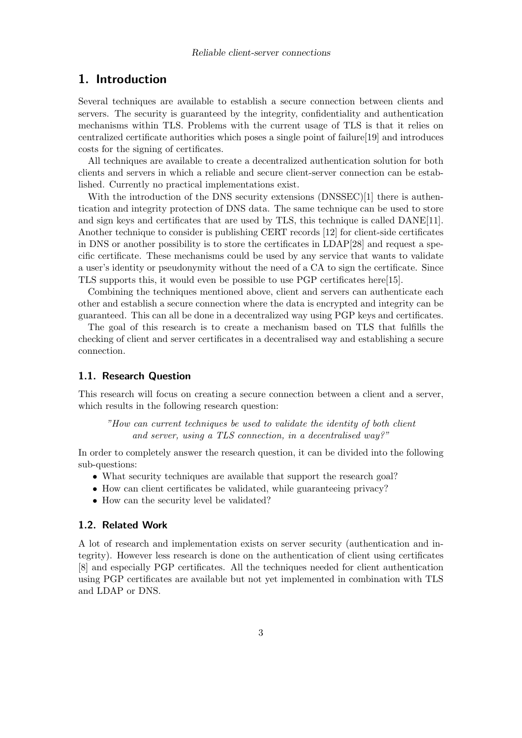## 1. Introduction

Several techniques are available to establish a secure connection between clients and servers. The security is guaranteed by the integrity, confidentiality and authentication mechanisms within TLS. Problems with the current usage of TLS is that it relies on centralized certificate authorities which poses a single point of failure[19] and introduces costs for the signing of certificates.

All techniques are available to create a decentralized authentication solution for both clients and servers in which a reliable and secure client-server connection can be established. Currently no practical implementations exist.

With the introduction of the DNS security extensions (DNSSEC)[1] there is authentication and integrity protection of DNS data. The same technique can be used to store and sign keys and certificates that are used by TLS, this technique is called DANE[11]. Another technique to consider is publishing CERT records [12] for client-side certificates in DNS or another possibility is to store the certificates in LDAP[28] and request a specific certificate. These mechanisms could be used by any service that wants to validate a user's identity or pseudonymity without the need of a CA to sign the certificate. Since TLS supports this, it would even be possible to use PGP certificates here[15].

Combining the techniques mentioned above, client and servers can authenticate each other and establish a secure connection where the data is encrypted and integrity can be guaranteed. This can all be done in a decentralized way using PGP keys and certificates.

The goal of this research is to create a mechanism based on TLS that fulfills the checking of client and server certificates in a decentralised way and establishing a secure connection.

## 1.1. Research Question

This research will focus on creating a secure connection between a client and a server, which results in the following research question:

"How can current techniques be used to validate the identity of both client and server, using a TLS connection, in a decentralised way?"

In order to completely answer the research question, it can be divided into the following sub-questions:

- What security techniques are available that support the research goal?
- How can client certificates be validated, while guaranteeing privacy?
- How can the security level be validated?

## 1.2. Related Work

A lot of research and implementation exists on server security (authentication and integrity). However less research is done on the authentication of client using certificates [8] and especially PGP certificates. All the techniques needed for client authentication using PGP certificates are available but not yet implemented in combination with TLS and LDAP or DNS.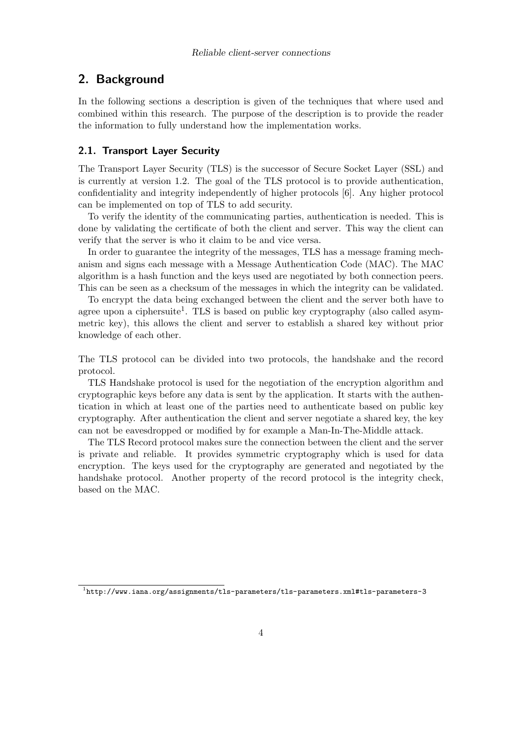## 2. Background

In the following sections a description is given of the techniques that where used and combined within this research. The purpose of the description is to provide the reader the information to fully understand how the implementation works.

## 2.1. Transport Layer Security

The Transport Layer Security (TLS) is the successor of Secure Socket Layer (SSL) and is currently at version 1.2. The goal of the TLS protocol is to provide authentication, confidentiality and integrity independently of higher protocols [6]. Any higher protocol can be implemented on top of TLS to add security.

To verify the identity of the communicating parties, authentication is needed. This is done by validating the certificate of both the client and server. This way the client can verify that the server is who it claim to be and vice versa.

In order to guarantee the integrity of the messages, TLS has a message framing mechanism and signs each message with a Message Authentication Code (MAC). The MAC algorithm is a hash function and the keys used are negotiated by both connection peers. This can be seen as a checksum of the messages in which the integrity can be validated.

To encrypt the data being exchanged between the client and the server both have to agree upon a ciphersuite<sup>1</sup>. TLS is based on public key cryptography (also called asymmetric key), this allows the client and server to establish a shared key without prior knowledge of each other.

The TLS protocol can be divided into two protocols, the handshake and the record protocol.

TLS Handshake protocol is used for the negotiation of the encryption algorithm and cryptographic keys before any data is sent by the application. It starts with the authentication in which at least one of the parties need to authenticate based on public key cryptography. After authentication the client and server negotiate a shared key, the key can not be eavesdropped or modified by for example a Man-In-The-Middle attack.

The TLS Record protocol makes sure the connection between the client and the server is private and reliable. It provides symmetric cryptography which is used for data encryption. The keys used for the cryptography are generated and negotiated by the handshake protocol. Another property of the record protocol is the integrity check, based on the MAC.

 $^{1}$ http://www.iana.org/assignments/tls-parameters/tls-parameters.xml#tls-parameters-3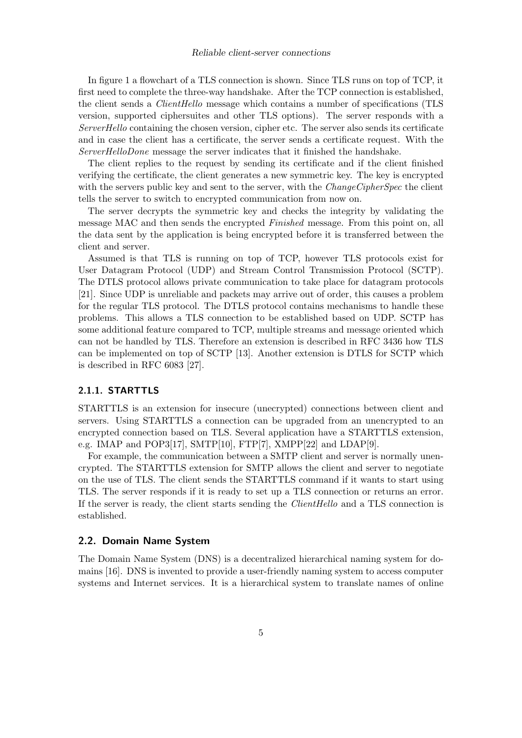In figure 1 a flowchart of a TLS connection is shown. Since TLS runs on top of TCP, it first need to complete the three-way handshake. After the TCP connection is established, the client sends a *ClientHello* message which contains a number of specifications (TLS version, supported ciphersuites and other TLS options). The server responds with a ServerHello containing the chosen version, cipher etc. The server also sends its certificate and in case the client has a certificate, the server sends a certificate request. With the ServerHelloDone message the server indicates that it finished the handshake.

The client replies to the request by sending its certificate and if the client finished verifying the certificate, the client generates a new symmetric key. The key is encrypted with the servers public key and sent to the server, with the  $ChangeCipherSpec$  the client tells the server to switch to encrypted communication from now on.

The server decrypts the symmetric key and checks the integrity by validating the message MAC and then sends the encrypted Finished message. From this point on, all the data sent by the application is being encrypted before it is transferred between the client and server.

Assumed is that TLS is running on top of TCP, however TLS protocols exist for User Datagram Protocol (UDP) and Stream Control Transmission Protocol (SCTP). The DTLS protocol allows private communication to take place for datagram protocols [21]. Since UDP is unreliable and packets may arrive out of order, this causes a problem for the regular TLS protocol. The DTLS protocol contains mechanisms to handle these problems. This allows a TLS connection to be established based on UDP. SCTP has some additional feature compared to TCP, multiple streams and message oriented which can not be handled by TLS. Therefore an extension is described in RFC 3436 how TLS can be implemented on top of SCTP [13]. Another extension is DTLS for SCTP which is described in RFC 6083 [27].

## 2.1.1. STARTTLS

STARTTLS is an extension for insecure (unecrypted) connections between client and servers. Using STARTTLS a connection can be upgraded from an unencrypted to an encrypted connection based on TLS. Several application have a STARTTLS extension, e.g. IMAP and POP3[17], SMTP[10], FTP[7], XMPP[22] and LDAP[9].

For example, the communication between a SMTP client and server is normally unencrypted. The STARTTLS extension for SMTP allows the client and server to negotiate on the use of TLS. The client sends the STARTTLS command if it wants to start using TLS. The server responds if it is ready to set up a TLS connection or returns an error. If the server is ready, the client starts sending the ClientHello and a TLS connection is established.

#### 2.2. Domain Name System

The Domain Name System (DNS) is a decentralized hierarchical naming system for domains [16]. DNS is invented to provide a user-friendly naming system to access computer systems and Internet services. It is a hierarchical system to translate names of online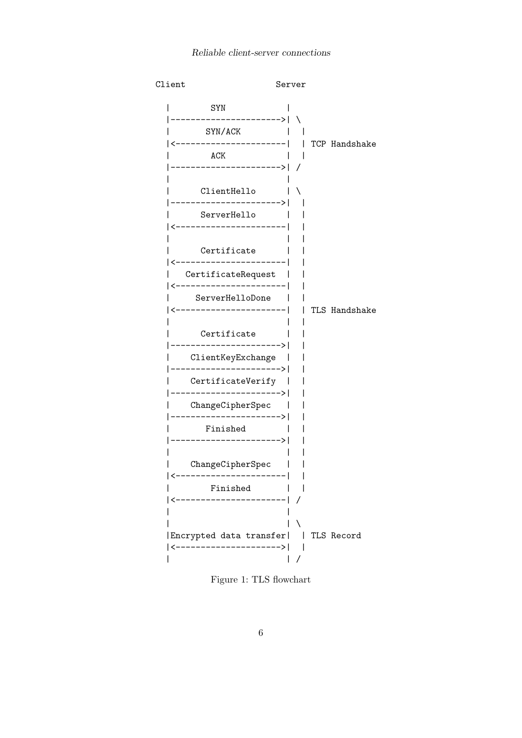

Figure 1: TLS flowchart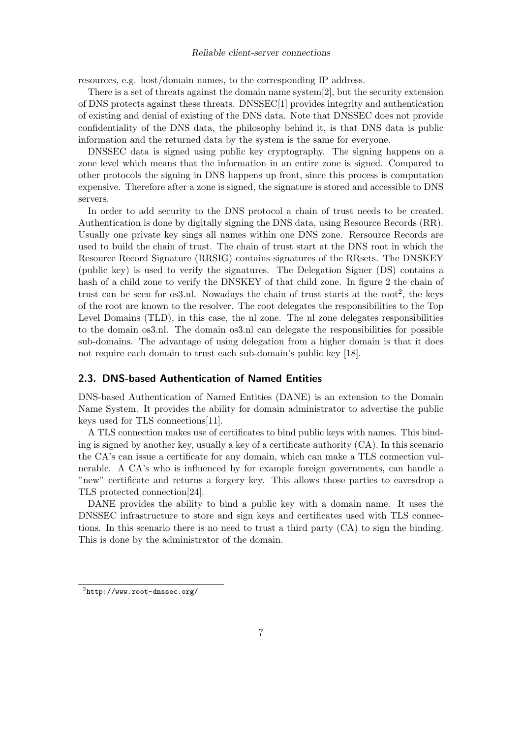resources, e.g. host/domain names, to the corresponding IP address.

There is a set of threats against the domain name system[2], but the security extension of DNS protects against these threats. DNSSEC[1] provides integrity and authentication of existing and denial of existing of the DNS data. Note that DNSSEC does not provide confidentiality of the DNS data, the philosophy behind it, is that DNS data is public information and the returned data by the system is the same for everyone.

DNSSEC data is signed using public key cryptography. The signing happens on a zone level which means that the information in an entire zone is signed. Compared to other protocols the signing in DNS happens up front, since this process is computation expensive. Therefore after a zone is signed, the signature is stored and accessible to DNS servers.

In order to add security to the DNS protocol a chain of trust needs to be created. Authentication is done by digitally signing the DNS data, using Resource Records (RR). Usually one private key sings all names within one DNS zone. Rersource Records are used to build the chain of trust. The chain of trust start at the DNS root in which the Resource Record Signature (RRSIG) contains signatures of the RRsets. The DNSKEY (public key) is used to verify the signatures. The Delegation Signer (DS) contains a hash of a child zone to verify the DNSKEY of that child zone. In figure 2 the chain of trust can be seen for os3.nl. Nowadays the chain of trust starts at the root<sup>2</sup>, the keys of the root are known to the resolver. The root delegates the responsibilities to the Top Level Domains (TLD), in this case, the nl zone. The nl zone delegates responsibilities to the domain os3.nl. The domain os3.nl can delegate the responsibilities for possible sub-domains. The advantage of using delegation from a higher domain is that it does not require each domain to trust each sub-domain's public key [18].

## 2.3. DNS-based Authentication of Named Entities

DNS-based Authentication of Named Entities (DANE) is an extension to the Domain Name System. It provides the ability for domain administrator to advertise the public keys used for TLS connections[11].

A TLS connection makes use of certificates to bind public keys with names. This binding is signed by another key, usually a key of a certificate authority (CA). In this scenario the CA's can issue a certificate for any domain, which can make a TLS connection vulnerable. A CA's who is influenced by for example foreign governments, can handle a "new" certificate and returns a forgery key. This allows those parties to eavesdrop a TLS protected connection[24].

DANE provides the ability to bind a public key with a domain name. It uses the DNSSEC infrastructure to store and sign keys and certificates used with TLS connections. In this scenario there is no need to trust a third party (CA) to sign the binding. This is done by the administrator of the domain.

 $^{2}$ http://www.root-dnssec.org/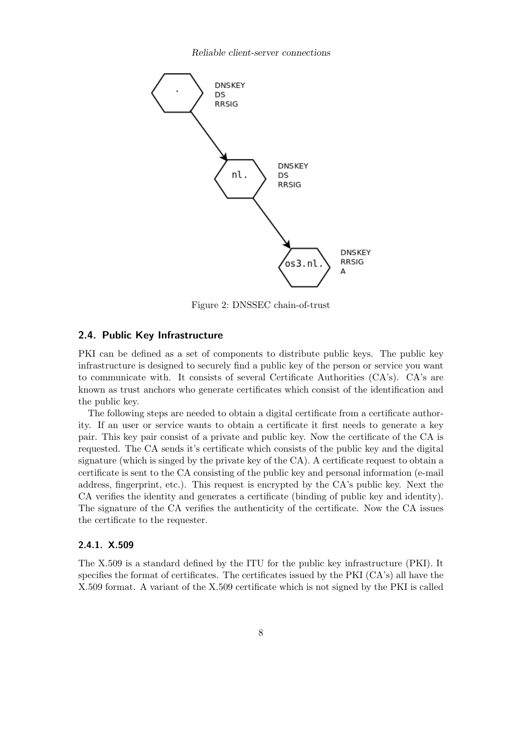

Figure 2: DNSSEC chain-of-trust

## 2.4. Public Key Infrastructure

PKI can be defined as a set of components to distribute public keys. The public key infrastructure is designed to securely find a public key of the person or service you want to communicate with. It consists of several Certificate Authorities (CA's). CA's are known as trust anchors who generate certificates which consist of the identification and the public key.

The following steps are needed to obtain a digital certificate from a certificate authority. If an user or service wants to obtain a certificate it first needs to generate a key pair. This key pair consist of a private and public key. Now the certificate of the CA is requested. The CA sends it's certificate which consists of the public key and the digital signature (which is singed by the private key of the CA). A certificate request to obtain a certificate is sent to the CA consisting of the public key and personal information (e-mail address, fingerprint, etc.). This request is encrypted by the CA's public key. Next the CA verifies the identity and generates a certificate (binding of public key and identity). The signature of the CA verifies the authenticity of the certificate. Now the CA issues the certificate to the requester.

## 2.4.1. X.509

The X.509 is a standard defined by the ITU for the public key infrastructure (PKI). It specifies the format of certificates. The certificates issued by the PKI (CA's) all have the X.509 format. A variant of the X.509 certificate which is not signed by the PKI is called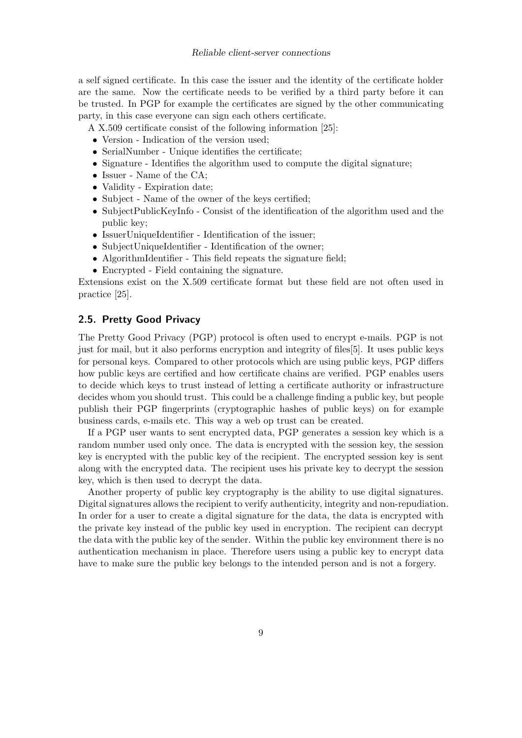a self signed certificate. In this case the issuer and the identity of the certificate holder are the same. Now the certificate needs to be verified by a third party before it can be trusted. In PGP for example the certificates are signed by the other communicating party, in this case everyone can sign each others certificate.

A X.509 certificate consist of the following information [25]:

- Version Indication of the version used;
- SerialNumber Unique identifies the certificate:
- Signature Identifies the algorithm used to compute the digital signature;
- Issuer Name of the CA;
- Validity Expiration date;
- Subject Name of the owner of the keys certified;
- SubjectPublicKeyInfo Consist of the identification of the algorithm used and the public key;
- IssuerUniqueIdentifier Identification of the issuer;
- SubjectUniqueIdentifier Identification of the owner;
- AlgorithmIdentifier This field repeats the signature field;
- Encrypted Field containing the signature.

Extensions exist on the X.509 certificate format but these field are not often used in practice [25].

## 2.5. Pretty Good Privacy

The Pretty Good Privacy (PGP) protocol is often used to encrypt e-mails. PGP is not just for mail, but it also performs encryption and integrity of files[5]. It uses public keys for personal keys. Compared to other protocols which are using public keys, PGP differs how public keys are certified and how certificate chains are verified. PGP enables users to decide which keys to trust instead of letting a certificate authority or infrastructure decides whom you should trust. This could be a challenge finding a public key, but people publish their PGP fingerprints (cryptographic hashes of public keys) on for example business cards, e-mails etc. This way a web op trust can be created.

If a PGP user wants to sent encrypted data, PGP generates a session key which is a random number used only once. The data is encrypted with the session key, the session key is encrypted with the public key of the recipient. The encrypted session key is sent along with the encrypted data. The recipient uses his private key to decrypt the session key, which is then used to decrypt the data.

Another property of public key cryptography is the ability to use digital signatures. Digital signatures allows the recipient to verify authenticity, integrity and non-repudiation. In order for a user to create a digital signature for the data, the data is encrypted with the private key instead of the public key used in encryption. The recipient can decrypt the data with the public key of the sender. Within the public key environment there is no authentication mechanism in place. Therefore users using a public key to encrypt data have to make sure the public key belongs to the intended person and is not a forgery.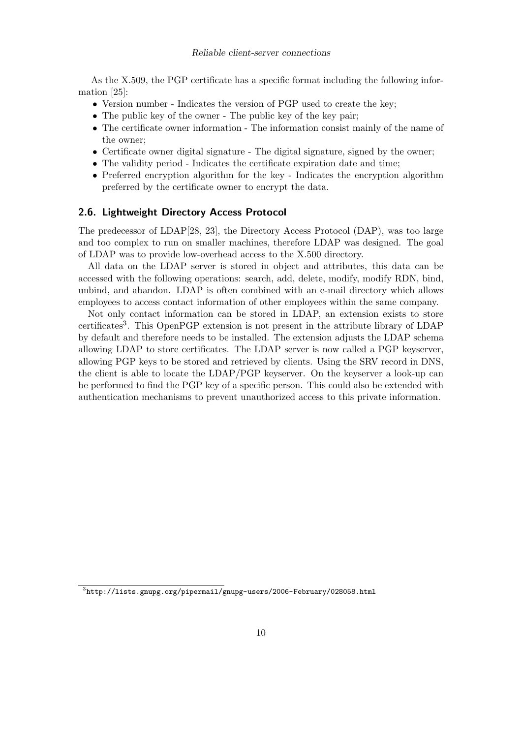As the X.509, the PGP certificate has a specific format including the following information [25]:

- Version number Indicates the version of PGP used to create the key;
- The public key of the owner The public key of the key pair;
- The certificate owner information The information consist mainly of the name of the owner;
- Certificate owner digital signature The digital signature, signed by the owner;
- The validity period Indicates the certificate expiration date and time;
- Preferred encryption algorithm for the key Indicates the encryption algorithm preferred by the certificate owner to encrypt the data.

#### 2.6. Lightweight Directory Access Protocol

The predecessor of LDAP[28, 23], the Directory Access Protocol (DAP), was too large and too complex to run on smaller machines, therefore LDAP was designed. The goal of LDAP was to provide low-overhead access to the X.500 directory.

All data on the LDAP server is stored in object and attributes, this data can be accessed with the following operations: search, add, delete, modify, modify RDN, bind, unbind, and abandon. LDAP is often combined with an e-mail directory which allows employees to access contact information of other employees within the same company.

Not only contact information can be stored in LDAP, an extension exists to store certificates<sup>3</sup>. This OpenPGP extension is not present in the attribute library of LDAP by default and therefore needs to be installed. The extension adjusts the LDAP schema allowing LDAP to store certificates. The LDAP server is now called a PGP keyserver, allowing PGP keys to be stored and retrieved by clients. Using the SRV record in DNS, the client is able to locate the LDAP/PGP keyserver. On the keyserver a look-up can be performed to find the PGP key of a specific person. This could also be extended with authentication mechanisms to prevent unauthorized access to this private information.

 $^3$ http://lists.gnupg.org/pipermail/gnupg-users/2006-February/028058.html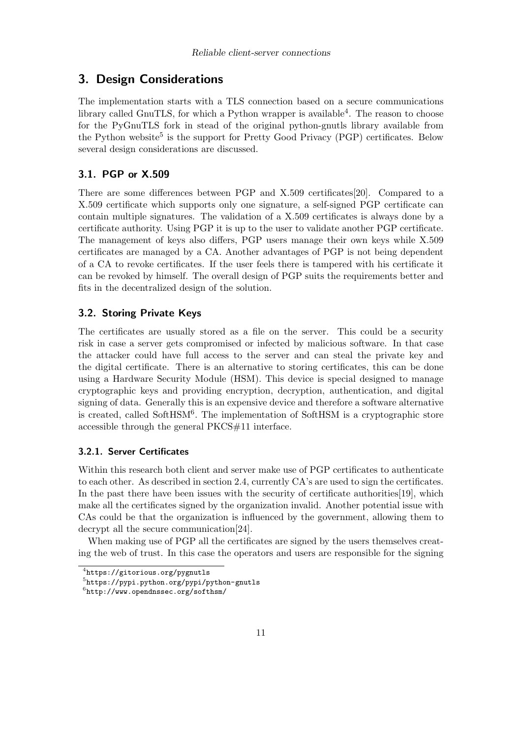## 3. Design Considerations

The implementation starts with a TLS connection based on a secure communications library called GnuTLS, for which a Python wrapper is available<sup>4</sup>. The reason to choose for the PyGnuTLS fork in stead of the original python-gnutls library available from the Python website<sup>5</sup> is the support for Pretty Good Privacy (PGP) certificates. Below several design considerations are discussed.

## 3.1. PGP or X.509

There are some differences between PGP and X.509 certificates[20]. Compared to a X.509 certificate which supports only one signature, a self-signed PGP certificate can contain multiple signatures. The validation of a X.509 certificates is always done by a certificate authority. Using PGP it is up to the user to validate another PGP certificate. The management of keys also differs, PGP users manage their own keys while X.509 certificates are managed by a CA. Another advantages of PGP is not being dependent of a CA to revoke certificates. If the user feels there is tampered with his certificate it can be revoked by himself. The overall design of PGP suits the requirements better and fits in the decentralized design of the solution.

## 3.2. Storing Private Keys

The certificates are usually stored as a file on the server. This could be a security risk in case a server gets compromised or infected by malicious software. In that case the attacker could have full access to the server and can steal the private key and the digital certificate. There is an alternative to storing certificates, this can be done using a Hardware Security Module (HSM). This device is special designed to manage cryptographic keys and providing encryption, decryption, authentication, and digital signing of data. Generally this is an expensive device and therefore a software alternative is created, called SoftHSM<sup>6</sup>. The implementation of SoftHSM is a cryptographic store accessible through the general PKCS#11 interface.

## 3.2.1. Server Certificates

Within this research both client and server make use of PGP certificates to authenticate to each other. As described in section 2.4, currently CA's are used to sign the certificates. In the past there have been issues with the security of certificate authorities [19], which make all the certificates signed by the organization invalid. Another potential issue with CAs could be that the organization is influenced by the government, allowing them to decrypt all the secure communication[24].

When making use of PGP all the certificates are signed by the users themselves creating the web of trust. In this case the operators and users are responsible for the signing

<sup>4</sup> https://gitorious.org/pygnutls

<sup>5</sup> https://pypi.python.org/pypi/python-gnutls

 $^6$ http://www.opendnssec.org/softhsm/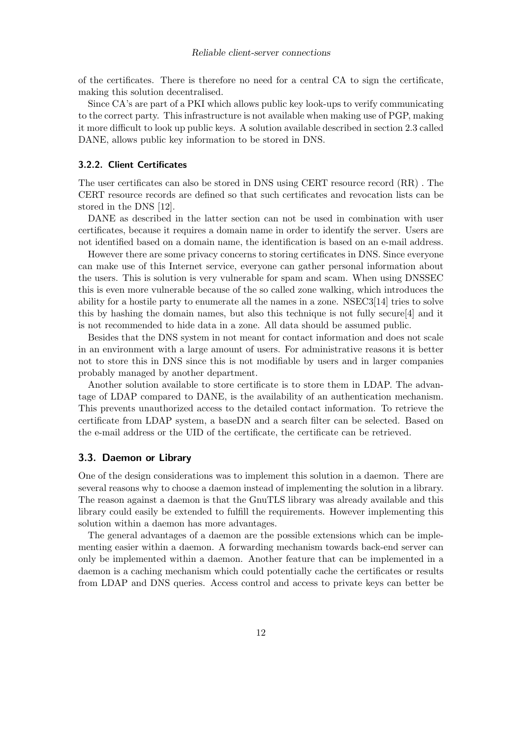of the certificates. There is therefore no need for a central CA to sign the certificate, making this solution decentralised.

Since CA's are part of a PKI which allows public key look-ups to verify communicating to the correct party. This infrastructure is not available when making use of PGP, making it more difficult to look up public keys. A solution available described in section 2.3 called DANE, allows public key information to be stored in DNS.

#### 3.2.2. Client Certificates

The user certificates can also be stored in DNS using CERT resource record (RR) . The CERT resource records are defined so that such certificates and revocation lists can be stored in the DNS [12].

DANE as described in the latter section can not be used in combination with user certificates, because it requires a domain name in order to identify the server. Users are not identified based on a domain name, the identification is based on an e-mail address.

However there are some privacy concerns to storing certificates in DNS. Since everyone can make use of this Internet service, everyone can gather personal information about the users. This is solution is very vulnerable for spam and scam. When using DNSSEC this is even more vulnerable because of the so called zone walking, which introduces the ability for a hostile party to enumerate all the names in a zone. NSEC3[14] tries to solve this by hashing the domain names, but also this technique is not fully secure[4] and it is not recommended to hide data in a zone. All data should be assumed public.

Besides that the DNS system in not meant for contact information and does not scale in an environment with a large amount of users. For administrative reasons it is better not to store this in DNS since this is not modifiable by users and in larger companies probably managed by another department.

Another solution available to store certificate is to store them in LDAP. The advantage of LDAP compared to DANE, is the availability of an authentication mechanism. This prevents unauthorized access to the detailed contact information. To retrieve the certificate from LDAP system, a baseDN and a search filter can be selected. Based on the e-mail address or the UID of the certificate, the certificate can be retrieved.

#### 3.3. Daemon or Library

One of the design considerations was to implement this solution in a daemon. There are several reasons why to choose a daemon instead of implementing the solution in a library. The reason against a daemon is that the GnuTLS library was already available and this library could easily be extended to fulfill the requirements. However implementing this solution within a daemon has more advantages.

The general advantages of a daemon are the possible extensions which can be implementing easier within a daemon. A forwarding mechanism towards back-end server can only be implemented within a daemon. Another feature that can be implemented in a daemon is a caching mechanism which could potentially cache the certificates or results from LDAP and DNS queries. Access control and access to private keys can better be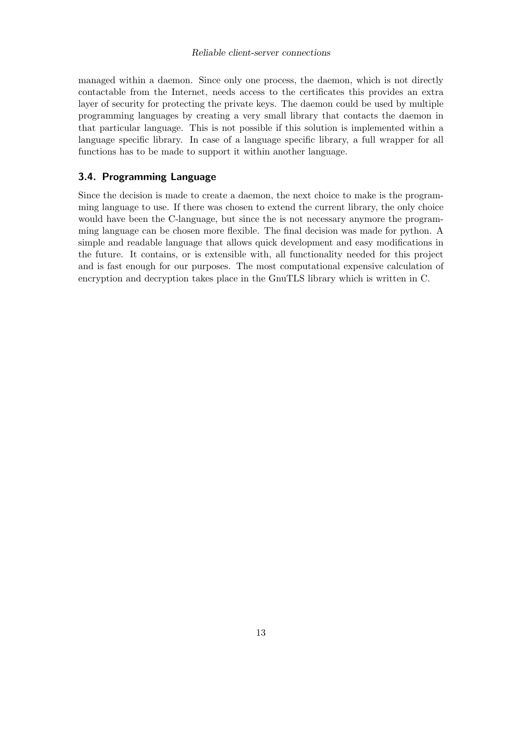managed within a daemon. Since only one process, the daemon, which is not directly contactable from the Internet, needs access to the certificates this provides an extra layer of security for protecting the private keys. The daemon could be used by multiple programming languages by creating a very small library that contacts the daemon in that particular language. This is not possible if this solution is implemented within a language specific library. In case of a language specific library, a full wrapper for all functions has to be made to support it within another language.

## 3.4. Programming Language

Since the decision is made to create a daemon, the next choice to make is the programming language to use. If there was chosen to extend the current library, the only choice would have been the C-language, but since the is not necessary anymore the programming language can be chosen more flexible. The final decision was made for python. A simple and readable language that allows quick development and easy modifications in the future. It contains, or is extensible with, all functionality needed for this project and is fast enough for our purposes. The most computational expensive calculation of encryption and decryption takes place in the GnuTLS library which is written in C.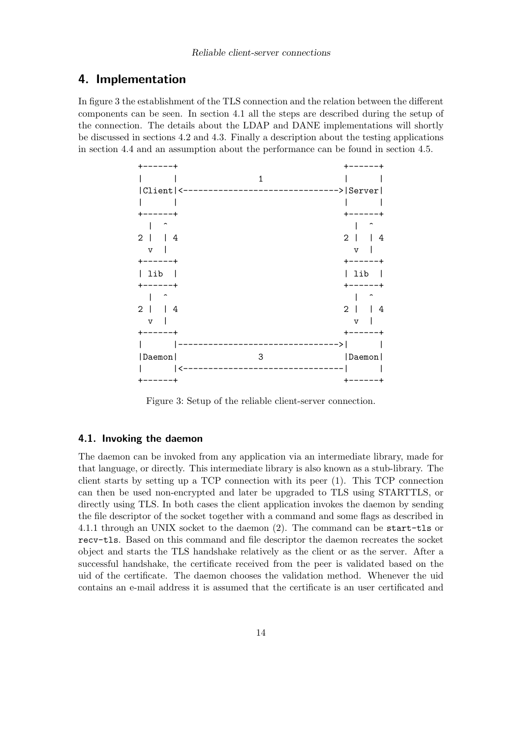## 4. Implementation

In figure 3 the establishment of the TLS connection and the relation between the different components can be seen. In section 4.1 all the steps are described during the setup of the connection. The details about the LDAP and DANE implementations will shortly be discussed in sections 4.2 and 4.3. Finally a description about the testing applications in section 4.4 and an assumption about the performance can be found in section 4.5.

| 1                   |                     |
|---------------------|---------------------|
| Client <-           | -> Server           |
|                     |                     |
|                     |                     |
|                     |                     |
| $\overline{2}$<br>4 | $\mathbf{2}$<br>4   |
| $\mathtt{V}$        | $\overline{V}$      |
|                     |                     |
| lib                 | lib                 |
|                     |                     |
|                     |                     |
| $\overline{2}$<br>4 | $\overline{2}$<br>4 |
| $\mathtt{V}$        | $\overline{V}$      |
|                     |                     |
|                     |                     |
| Daemon<br>3         | Daemon              |
|                     |                     |
|                     |                     |

Figure 3: Setup of the reliable client-server connection.

## 4.1. Invoking the daemon

The daemon can be invoked from any application via an intermediate library, made for that language, or directly. This intermediate library is also known as a stub-library. The client starts by setting up a TCP connection with its peer (1). This TCP connection can then be used non-encrypted and later be upgraded to TLS using STARTTLS, or directly using TLS. In both cases the client application invokes the daemon by sending the file descriptor of the socket together with a command and some flags as described in 4.1.1 through an UNIX socket to the daemon (2). The command can be start-tls or recv-tls. Based on this command and file descriptor the daemon recreates the socket object and starts the TLS handshake relatively as the client or as the server. After a successful handshake, the certificate received from the peer is validated based on the uid of the certificate. The daemon chooses the validation method. Whenever the uid contains an e-mail address it is assumed that the certificate is an user certificated and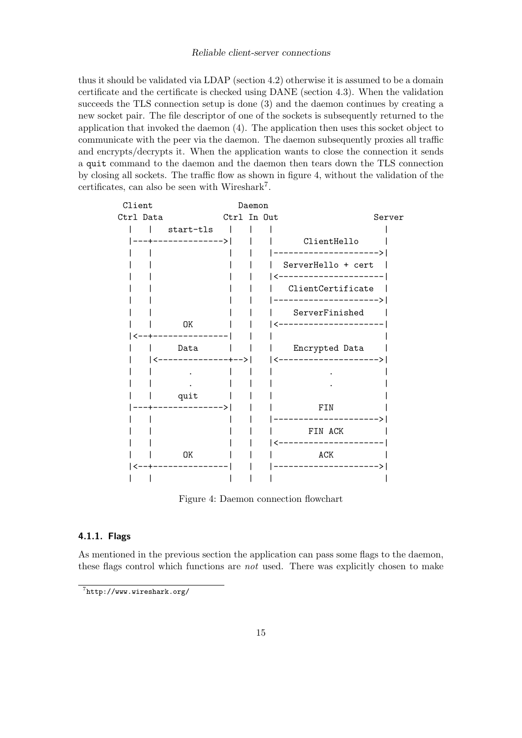#### Reliable client-server connections

thus it should be validated via LDAP (section 4.2) otherwise it is assumed to be a domain certificate and the certificate is checked using DANE (section 4.3). When the validation succeeds the TLS connection setup is done (3) and the daemon continues by creating a new socket pair. The file descriptor of one of the sockets is subsequently returned to the application that invoked the daemon (4). The application then uses this socket object to communicate with the peer via the daemon. The daemon subsequently proxies all traffic and encrypts/decrypts it. When the application wants to close the connection it sends a quit command to the daemon and the daemon then tears down the TLS connection by closing all sockets. The traffic flow as shown in figure 4, without the validation of the certificates, can also be seen with Wireshark<sup>7</sup> .

| Client    | Daemon                              |                          |  |  |                                                                     |        |
|-----------|-------------------------------------|--------------------------|--|--|---------------------------------------------------------------------|--------|
| Ctrl Data |                                     | Ctrl In Out              |  |  |                                                                     | Server |
|           | start-tls    <br>--+--------------> |                          |  |  | ClientHello                                                         |        |
|           |                                     |                          |  |  | ---------------><br>ServerHello + cert  <br><---------------------- |        |
|           |                                     |                          |  |  | ClientCertificate<br>_______________<br>------                      |        |
|           | OK                                  |                          |  |  | ServerFinished<br>/---------------------                            |        |
|           | Data<br>--------------+-->          | <b>Contract Contract</b> |  |  | Encrypted Data<br>--------------------                              |        |
|           |                                     |                          |  |  |                                                                     |        |
|           | quit<br>--+-------------->          |                          |  |  | FIN<br>------------------                                           |        |
|           |                                     |                          |  |  | FIN ACK<br>___________________                                      |        |
|           | 0K                                  |                          |  |  | ACK<br>-------------------                                          |        |
|           |                                     |                          |  |  |                                                                     |        |

Figure 4: Daemon connection flowchart

#### 4.1.1. Flags

As mentioned in the previous section the application can pass some flags to the daemon, these flags control which functions are not used. There was explicitly chosen to make

<sup>7</sup> http://www.wireshark.org/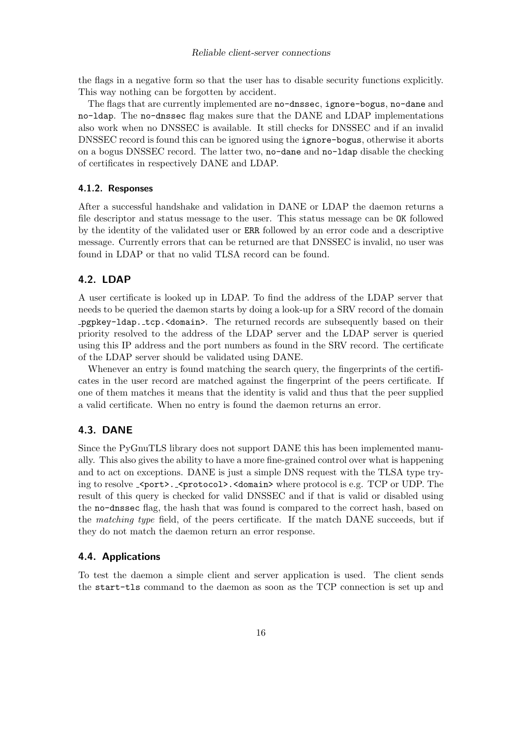the flags in a negative form so that the user has to disable security functions explicitly. This way nothing can be forgotten by accident.

The flags that are currently implemented are no-dnssec, ignore-bogus, no-dane and no-ldap. The no-dnssec flag makes sure that the DANE and LDAP implementations also work when no DNSSEC is available. It still checks for DNSSEC and if an invalid DNSSEC record is found this can be ignored using the ignore-bogus, otherwise it aborts on a bogus DNSSEC record. The latter two, no-dane and no-ldap disable the checking of certificates in respectively DANE and LDAP.

#### 4.1.2. Responses

After a successful handshake and validation in DANE or LDAP the daemon returns a file descriptor and status message to the user. This status message can be OK followed by the identity of the validated user or ERR followed by an error code and a descriptive message. Currently errors that can be returned are that DNSSEC is invalid, no user was found in LDAP or that no valid TLSA record can be found.

## 4.2. LDAP

A user certificate is looked up in LDAP. To find the address of the LDAP server that needs to be queried the daemon starts by doing a look-up for a SRV record of the domain pgpkey-ldap. tcp.<domain>. The returned records are subsequently based on their priority resolved to the address of the LDAP server and the LDAP server is queried using this IP address and the port numbers as found in the SRV record. The certificate of the LDAP server should be validated using DANE.

Whenever an entry is found matching the search query, the fingerprints of the certificates in the user record are matched against the fingerprint of the peers certificate. If one of them matches it means that the identity is valid and thus that the peer supplied a valid certificate. When no entry is found the daemon returns an error.

## 4.3. DANE

Since the PyGnuTLS library does not support DANE this has been implemented manually. This also gives the ability to have a more fine-grained control over what is happening and to act on exceptions. DANE is just a simple DNS request with the TLSA type trying to resolve \_<port>. \_<protocol>. <domain> where protocol is e.g. TCP or UDP. The result of this query is checked for valid DNSSEC and if that is valid or disabled using the no-dnssec flag, the hash that was found is compared to the correct hash, based on the matching type field, of the peers certificate. If the match DANE succeeds, but if they do not match the daemon return an error response.

#### 4.4. Applications

To test the daemon a simple client and server application is used. The client sends the start-tls command to the daemon as soon as the TCP connection is set up and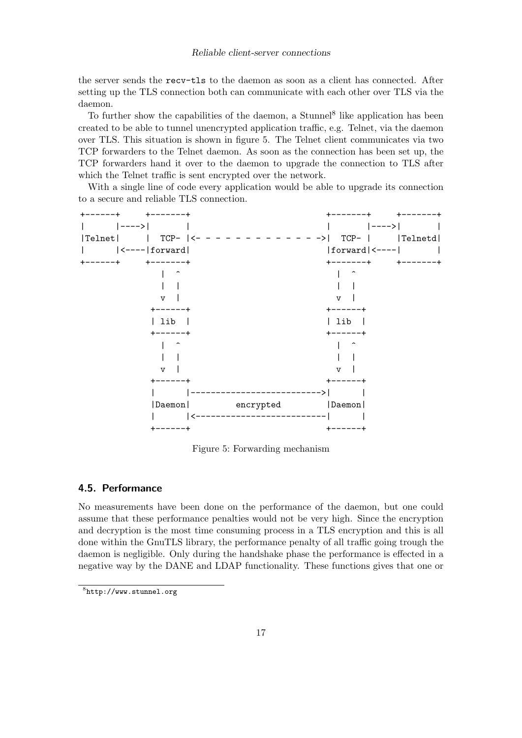#### Reliable client-server connections

the server sends the recv-tls to the daemon as soon as a client has connected. After setting up the TLS connection both can communicate with each other over TLS via the daemon.

To further show the capabilities of the daemon, a Stunnel<sup>8</sup> like application has been created to be able to tunnel unencrypted application traffic, e.g. Telnet, via the daemon over TLS. This situation is shown in figure 5. The Telnet client communicates via two TCP forwarders to the Telnet daemon. As soon as the connection has been set up, the TCP forwarders hand it over to the daemon to upgrade the connection to TLS after which the Telnet traffic is sent encrypted over the network.

With a single line of code every application would be able to upgrade its connection to a secure and reliable TLS connection.



Figure 5: Forwarding mechanism

## 4.5. Performance

No measurements have been done on the performance of the daemon, but one could assume that these performance penalties would not be very high. Since the encryption and decryption is the most time consuming process in a TLS encryption and this is all done within the GnuTLS library, the performance penalty of all traffic going trough the daemon is negligible. Only during the handshake phase the performance is effected in a negative way by the DANE and LDAP functionality. These functions gives that one or

<sup>8</sup> http://www.stunnel.org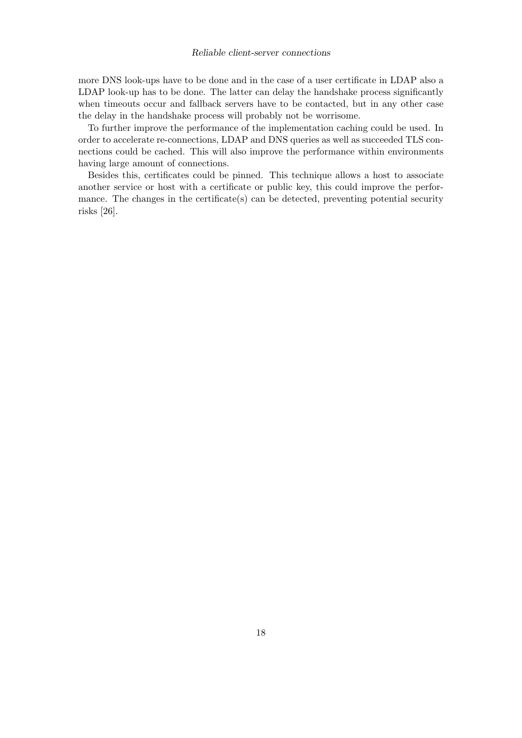#### Reliable client-server connections

more DNS look-ups have to be done and in the case of a user certificate in LDAP also a LDAP look-up has to be done. The latter can delay the handshake process significantly when timeouts occur and fallback servers have to be contacted, but in any other case the delay in the handshake process will probably not be worrisome.

To further improve the performance of the implementation caching could be used. In order to accelerate re-connections, LDAP and DNS queries as well as succeeded TLS connections could be cached. This will also improve the performance within environments having large amount of connections.

Besides this, certificates could be pinned. This technique allows a host to associate another service or host with a certificate or public key, this could improve the performance. The changes in the certificate(s) can be detected, preventing potential security risks [26].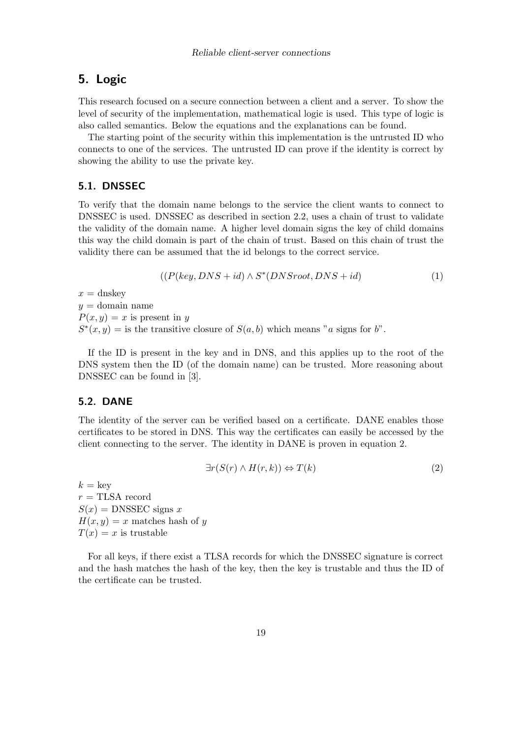## 5. Logic

This research focused on a secure connection between a client and a server. To show the level of security of the implementation, mathematical logic is used. This type of logic is also called semantics. Below the equations and the explanations can be found.

The starting point of the security within this implementation is the untrusted ID who connects to one of the services. The untrusted ID can prove if the identity is correct by showing the ability to use the private key.

## 5.1. DNSSEC

To verify that the domain name belongs to the service the client wants to connect to DNSSEC is used. DNSSEC as described in section 2.2, uses a chain of trust to validate the validity of the domain name. A higher level domain signs the key of child domains this way the child domain is part of the chain of trust. Based on this chain of trust the validity there can be assumed that the id belongs to the correct service.

$$
((P(key, DNS + id) \wedge S^*(DNS root, DNS + id) \qquad (1)
$$

 $x =$ dnskey  $y =$ domain name  $P(x, y) = x$  is present in y  $S^*(x, y) =$  is the transitive closure of  $S(a, b)$  which means "a signs for b".

If the ID is present in the key and in DNS, and this applies up to the root of the DNS system then the ID (of the domain name) can be trusted. More reasoning about DNSSEC can be found in [3].

## 5.2. DANE

The identity of the server can be verified based on a certificate. DANE enables those certificates to be stored in DNS. This way the certificates can easily be accessed by the client connecting to the server. The identity in DANE is proven in equation 2.

$$
\exists r(S(r) \land H(r,k)) \Leftrightarrow T(k) \tag{2}
$$

 $k = \text{keV}$  $r =$ TLSA record  $S(x)$  = DNSSEC signs x  $H(x, y) = x$  matches hash of y  $T(x) = x$  is trustable

For all keys, if there exist a TLSA records for which the DNSSEC signature is correct and the hash matches the hash of the key, then the key is trustable and thus the ID of the certificate can be trusted.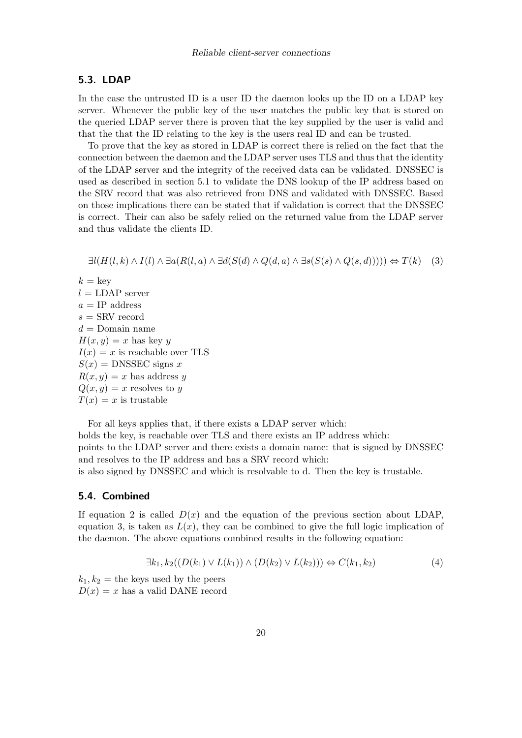#### 5.3. LDAP

In the case the untrusted ID is a user ID the daemon looks up the ID on a LDAP key server. Whenever the public key of the user matches the public key that is stored on the queried LDAP server there is proven that the key supplied by the user is valid and that the that the ID relating to the key is the users real ID and can be trusted.

To prove that the key as stored in LDAP is correct there is relied on the fact that the connection between the daemon and the LDAP server uses TLS and thus that the identity of the LDAP server and the integrity of the received data can be validated. DNSSEC is used as described in section 5.1 to validate the DNS lookup of the IP address based on the SRV record that was also retrieved from DNS and validated with DNSSEC. Based on those implications there can be stated that if validation is correct that the DNSSEC is correct. Their can also be safely relied on the returned value from the LDAP server and thus validate the clients ID.

 $\exists l(H(l, k) \wedge I(l) \wedge \exists a(R(l, a) \wedge \exists d(S(d) \wedge Q(d, a) \wedge \exists s(S(s) \wedge Q(s, d)))) \Leftrightarrow T(k)$  (3)

 $k = \text{key}$  $l = \text{LDAP server}$  $a = IP$  address  $s =$  SRV record  $d =$ Domain name  $H(x, y) = x$  has key y  $I(x) = x$  is reachable over TLS  $S(x)$  = DNSSEC signs x  $R(x, y) = x$  has address y  $Q(x, y) = x$  resolves to y  $T(x) = x$  is trustable

For all keys applies that, if there exists a LDAP server which: holds the key, is reachable over TLS and there exists an IP address which: points to the LDAP server and there exists a domain name: that is signed by DNSSEC and resolves to the IP address and has a SRV record which:

is also signed by DNSSEC and which is resolvable to d. Then the key is trustable.

## 5.4. Combined

If equation 2 is called  $D(x)$  and the equation of the previous section about LDAP, equation 3, is taken as  $L(x)$ , they can be combined to give the full logic implication of the daemon. The above equations combined results in the following equation:

$$
\exists k_1, k_2((D(k_1) \vee L(k_1)) \wedge (D(k_2) \vee L(k_2))) \Leftrightarrow C(k_1, k_2)
$$
\n
$$
(4)
$$

 $k_1, k_2$  = the keys used by the peers  $D(x) = x$  has a valid DANE record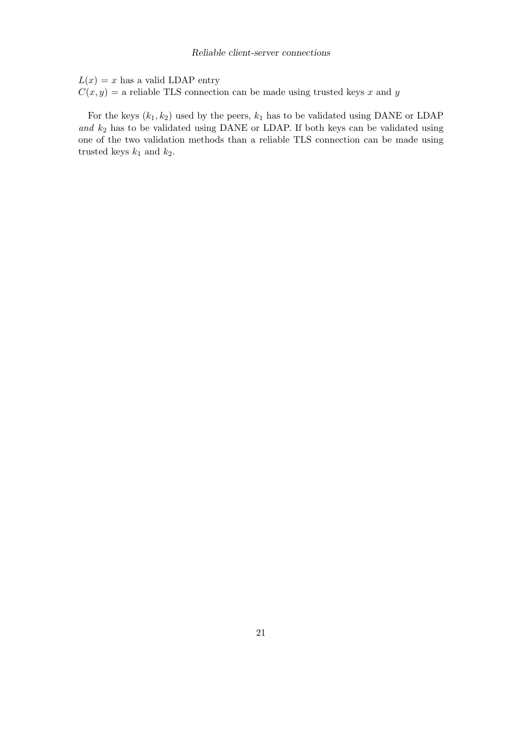$L(x) = x$  has a valid LDAP entry  $C(x, y) =$  a reliable TLS connection can be made using trusted keys x and y

For the keys  $(k_1, k_2)$  used by the peers,  $k_1$  has to be validated using DANE or LDAP and  $k_2$  has to be validated using DANE or LDAP. If both keys can be validated using one of the two validation methods than a reliable TLS connection can be made using trusted keys  $k_1$  and  $k_2$ .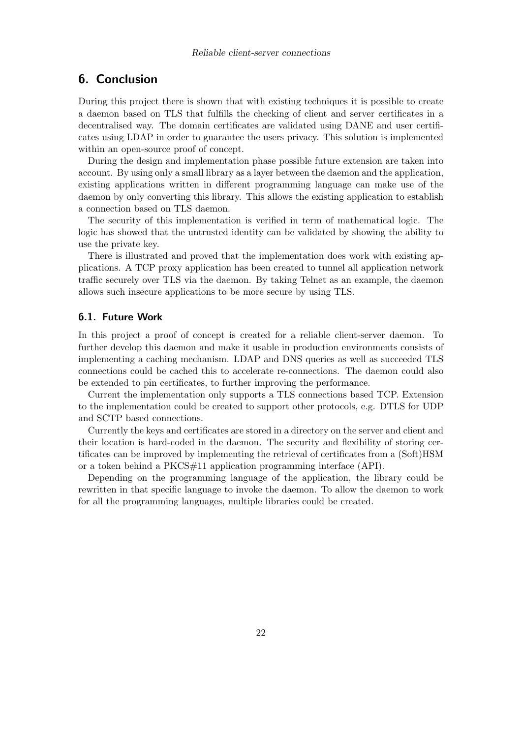## 6. Conclusion

During this project there is shown that with existing techniques it is possible to create a daemon based on TLS that fulfills the checking of client and server certificates in a decentralised way. The domain certificates are validated using DANE and user certificates using LDAP in order to guarantee the users privacy. This solution is implemented within an open-source proof of concept.

During the design and implementation phase possible future extension are taken into account. By using only a small library as a layer between the daemon and the application, existing applications written in different programming language can make use of the daemon by only converting this library. This allows the existing application to establish a connection based on TLS daemon.

The security of this implementation is verified in term of mathematical logic. The logic has showed that the untrusted identity can be validated by showing the ability to use the private key.

There is illustrated and proved that the implementation does work with existing applications. A TCP proxy application has been created to tunnel all application network traffic securely over TLS via the daemon. By taking Telnet as an example, the daemon allows such insecure applications to be more secure by using TLS.

## 6.1. Future Work

In this project a proof of concept is created for a reliable client-server daemon. To further develop this daemon and make it usable in production environments consists of implementing a caching mechanism. LDAP and DNS queries as well as succeeded TLS connections could be cached this to accelerate re-connections. The daemon could also be extended to pin certificates, to further improving the performance.

Current the implementation only supports a TLS connections based TCP. Extension to the implementation could be created to support other protocols, e.g. DTLS for UDP and SCTP based connections.

Currently the keys and certificates are stored in a directory on the server and client and their location is hard-coded in the daemon. The security and flexibility of storing certificates can be improved by implementing the retrieval of certificates from a (Soft)HSM or a token behind a PKCS#11 application programming interface (API).

Depending on the programming language of the application, the library could be rewritten in that specific language to invoke the daemon. To allow the daemon to work for all the programming languages, multiple libraries could be created.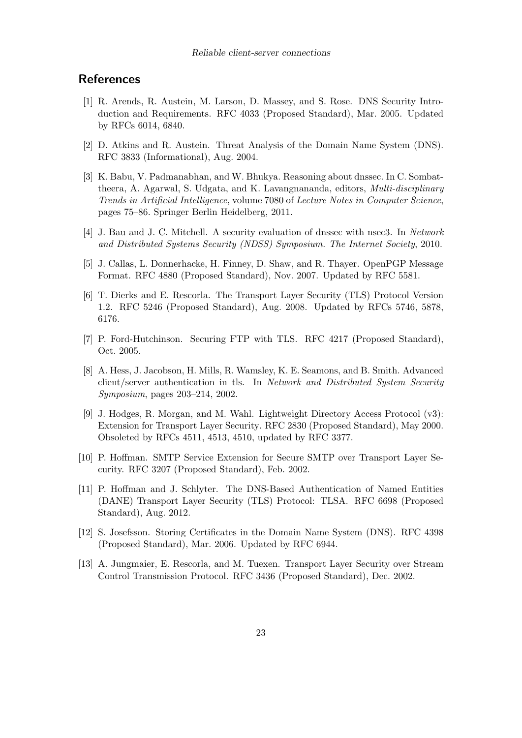## **References**

- [1] R. Arends, R. Austein, M. Larson, D. Massey, and S. Rose. DNS Security Introduction and Requirements. RFC 4033 (Proposed Standard), Mar. 2005. Updated by RFCs 6014, 6840.
- [2] D. Atkins and R. Austein. Threat Analysis of the Domain Name System (DNS). RFC 3833 (Informational), Aug. 2004.
- [3] K. Babu, V. Padmanabhan, and W. Bhukya. Reasoning about dnssec. In C. Sombattheera, A. Agarwal, S. Udgata, and K. Lavangnananda, editors, Multi-disciplinary Trends in Artificial Intelligence, volume 7080 of Lecture Notes in Computer Science, pages 75–86. Springer Berlin Heidelberg, 2011.
- [4] J. Bau and J. C. Mitchell. A security evaluation of dnssec with nsec3. In Network and Distributed Systems Security (NDSS) Symposium. The Internet Society, 2010.
- [5] J. Callas, L. Donnerhacke, H. Finney, D. Shaw, and R. Thayer. OpenPGP Message Format. RFC 4880 (Proposed Standard), Nov. 2007. Updated by RFC 5581.
- [6] T. Dierks and E. Rescorla. The Transport Layer Security (TLS) Protocol Version 1.2. RFC 5246 (Proposed Standard), Aug. 2008. Updated by RFCs 5746, 5878, 6176.
- [7] P. Ford-Hutchinson. Securing FTP with TLS. RFC 4217 (Proposed Standard), Oct. 2005.
- [8] A. Hess, J. Jacobson, H. Mills, R. Wamsley, K. E. Seamons, and B. Smith. Advanced client/server authentication in tls. In Network and Distributed System Security Symposium, pages 203–214, 2002.
- [9] J. Hodges, R. Morgan, and M. Wahl. Lightweight Directory Access Protocol (v3): Extension for Transport Layer Security. RFC 2830 (Proposed Standard), May 2000. Obsoleted by RFCs 4511, 4513, 4510, updated by RFC 3377.
- [10] P. Hoffman. SMTP Service Extension for Secure SMTP over Transport Layer Security. RFC 3207 (Proposed Standard), Feb. 2002.
- [11] P. Hoffman and J. Schlyter. The DNS-Based Authentication of Named Entities (DANE) Transport Layer Security (TLS) Protocol: TLSA. RFC 6698 (Proposed Standard), Aug. 2012.
- [12] S. Josefsson. Storing Certificates in the Domain Name System (DNS). RFC 4398 (Proposed Standard), Mar. 2006. Updated by RFC 6944.
- [13] A. Jungmaier, E. Rescorla, and M. Tuexen. Transport Layer Security over Stream Control Transmission Protocol. RFC 3436 (Proposed Standard), Dec. 2002.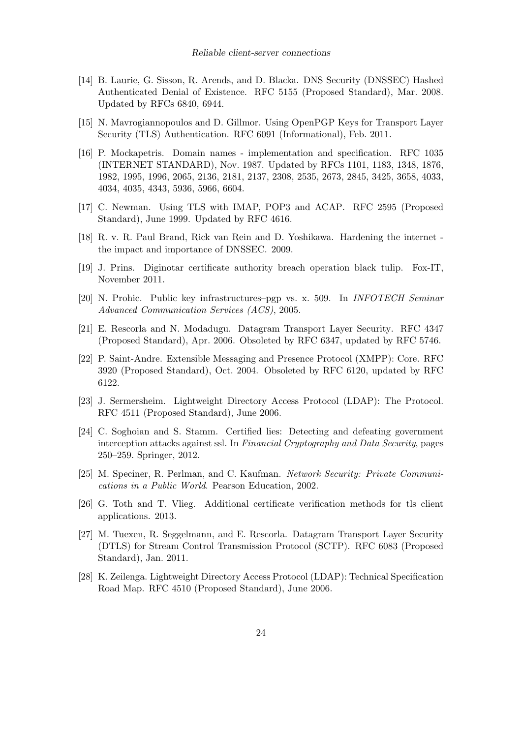- [14] B. Laurie, G. Sisson, R. Arends, and D. Blacka. DNS Security (DNSSEC) Hashed Authenticated Denial of Existence. RFC 5155 (Proposed Standard), Mar. 2008. Updated by RFCs 6840, 6944.
- [15] N. Mavrogiannopoulos and D. Gillmor. Using OpenPGP Keys for Transport Layer Security (TLS) Authentication. RFC 6091 (Informational), Feb. 2011.
- [16] P. Mockapetris. Domain names implementation and specification. RFC 1035 (INTERNET STANDARD), Nov. 1987. Updated by RFCs 1101, 1183, 1348, 1876, 1982, 1995, 1996, 2065, 2136, 2181, 2137, 2308, 2535, 2673, 2845, 3425, 3658, 4033, 4034, 4035, 4343, 5936, 5966, 6604.
- [17] C. Newman. Using TLS with IMAP, POP3 and ACAP. RFC 2595 (Proposed Standard), June 1999. Updated by RFC 4616.
- [18] R. v. R. Paul Brand, Rick van Rein and D. Yoshikawa. Hardening the internet the impact and importance of DNSSEC. 2009.
- [19] J. Prins. Diginotar certificate authority breach operation black tulip. Fox-IT, November 2011.
- [20] N. Prohic. Public key infrastructures–pgp vs. x. 509. In INFOTECH Seminar Advanced Communication Services (ACS), 2005.
- [21] E. Rescorla and N. Modadugu. Datagram Transport Layer Security. RFC 4347 (Proposed Standard), Apr. 2006. Obsoleted by RFC 6347, updated by RFC 5746.
- [22] P. Saint-Andre. Extensible Messaging and Presence Protocol (XMPP): Core. RFC 3920 (Proposed Standard), Oct. 2004. Obsoleted by RFC 6120, updated by RFC 6122.
- [23] J. Sermersheim. Lightweight Directory Access Protocol (LDAP): The Protocol. RFC 4511 (Proposed Standard), June 2006.
- [24] C. Soghoian and S. Stamm. Certified lies: Detecting and defeating government interception attacks against ssl. In Financial Cryptography and Data Security, pages 250–259. Springer, 2012.
- [25] M. Speciner, R. Perlman, and C. Kaufman. Network Security: Private Communications in a Public World. Pearson Education, 2002.
- [26] G. Toth and T. Vlieg. Additional certificate verification methods for tls client applications. 2013.
- [27] M. Tuexen, R. Seggelmann, and E. Rescorla. Datagram Transport Layer Security (DTLS) for Stream Control Transmission Protocol (SCTP). RFC 6083 (Proposed Standard), Jan. 2011.
- [28] K. Zeilenga. Lightweight Directory Access Protocol (LDAP): Technical Specification Road Map. RFC 4510 (Proposed Standard), June 2006.